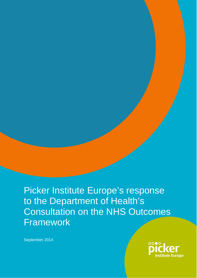Picker Institute Europe's response to the Department of Health's Consultation on the NHS Outcomes Framework

September 2014

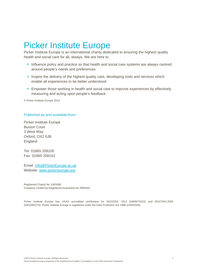# Picker Institute Europe

Picker Institute Europe is an international charity dedicated to ensuring the highest quality health and social care for all, always. We are here to:

- **o** Influence policy and practice so that health and social care systems are always centred around people's needs and preferences
- **Inspire the delivery of the highest quality care, developing tools and services which** enable all experiences to be better understood
- **Empower those working in health and social care to improve experiences by effectively** measuring and acting upon people's feedback

© Picker Institute Europe 2014

#### Published by and available from:

Picker Institute Europe Buxton Court 3 West Way Oxford, OX2 0JB England

Tel: 01865 208100 Fax: 01865 208101

Email: Info@PickerEurope.ac.uk Website: www.pickereurope.org

Registered Charity No 1081688 Company Limited by Registered Guarantee No 3908160

Picker Institute Europe has UKAS accredited certification for ISO20252: 2012 (GB08/74322) and ISO27001:2005 (GB10/80275). Picker Institute Europe is registered under the Data Protection Act 1998 (Z4942556)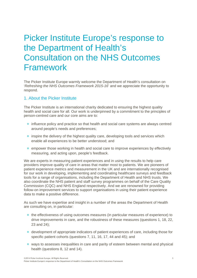# Picker Institute Europe's response to the Department of Health's Consultation on the NHS Outcomes Framework

The Picker Institute Europe warmly welcome the Department of Health's consultation on '*Refreshing the NHS Outcomes Framework 2015-16*' and we appreciate the opportunity to respond.

# 1. About the Picker Institute

The Picker Institute is an international charity dedicated to ensuring the highest quality health and social care for all. Our work is underpinned by a commitment to the principles of person-centred care and our core aims are to:

- **o** influence policy and practice so that health and social care systems are always centred around people's needs and preferences;
- **o** inspire the delivery of the highest quality care, developing tools and services which enable all experiences to be better understood; and
- **e** empower those working in health and social care to improve experiences by effectively measuring, and acting upon, people's feedback.

We are experts in measuring patient experiences and in using the results to help care providers improve quality of care in areas that matter most to patients. We are pioneers of patient experience metrics and measurement in the UK and are internationally recognised for our work in developing, implementing and coordinating healthcare surveys and feedback tools for a range of organisations, including the Department of Health and NHS trusts. We also coordinate the NHS patient and staff survey programmes on behalf of the Care Quality Commission (CQC) and NHS England respectively. And we are renowned for providing follow-on improvement services to support organisations in using their patient experience data to make a positive difference.

As such we have expertise and insight in a number of the areas the Department of Health are consulting on, in particular:

- **•** the effectiveness of using outcomes measures (in particular measures of experience) to drive improvements in care, and the robustness of these measures (questions 1, 18, 22, 23 and 24);
- development of appropriate indicators of patient experiences of care, including those for specific patient cohorts (questions 7, 11, 16, 17, 44 and 45); and
- **o** ways to assesses inequalities in care and parity of esteem between mental and physical health (questions 8, 12 and 14).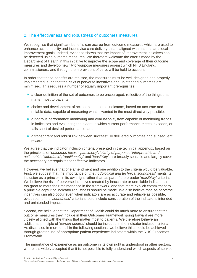# 2. The effectiveness and robustness of outcomes measures

We recognise that significant benefits can accrue from outcome measures which are used to enhance accountability and incentivise care delivery that is aligned with national and local improvement goals. Indeed, evidence shows that the impact of improvement initiatives can be detected using outcome measures. We therefore welcome the efforts made by the Department of Health in this initiative to improve the scope and coverage of their outcome measures and develop new fit-for-purpose measures against which NHS England, commissioners, and through them providers of care, will be held to account.

In order that these benefits are realised, the measures must be well-designed and properly implemented, such that the risks of perverse incentives and unintended outcomes are minimised. This requires a number of equally important prerequisites:

- **a** a clear definition of the set of outcomes to be encouraged, reflective of the things that matter most to patients;
- **o** choice and development of actionable outcome indicators, based on accurate and reliable data, capable of measuring what is wanted in the most direct way possible;
- a rigorous performance monitoring and evaluation system capable of monitoring trends in indicators and evaluating the extent to which current performance meets, exceeds, or falls short of desired performance; and
- **a** a transparent and robust link between successfully delivered outcomes and subsequent reward.

We agree that the indicator inclusion criteria presented in the technical appendix, based on the principles of '*outcomes focus*', '*parsimony*', '*clarity of purpose*', '*interpretable and actionable*', '*affordable*', '*additionality*' and '*feasibility*', are broadly sensible and largely cover the necessary prerequisites for effective indicators.

However, we believe that one amendment and one addition to the criteria would be valuable. First, we suggest that the importance of '*methodological and technical soundness*' merits its inclusion as a principle in its own right rather than as part of the broader '*feasibility*' criteria. We believe the risk of perverse incentives created by inaccurate or unreliable indicators is too great to merit their maintenance in the framework, and that more explicit commitment to a principle capturing indicator robustness should be made. We also believe that, as perverse incentives can also occur even when indicators are as accurate and reliable as possible, evaluation of the '*soundness*' criteria should include consideration of the indicator's intended and unintended impacts.

Second, we believe that the Department of Health could do much more to ensure that the outcome measures they include in their Outcomes Framework going forward are more closely aligned with the things that matter most to patients. We therefore believe an additional principle of '*person-centred*' should be included in the indicator inclusion criteria. As discussed in more detail in the following sections, we believe this should be achieved through greater use of appropriate patient experience indicators within the NHS Outcomes Framework.

The importance of experience as an outcome in its own right is understood in other sectors, where it is widely accepted that it is not possible to fully understand which aspects of service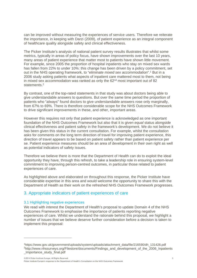can be improved without measuring the experiences of service users. Therefore we reiterate the importance, in keeping with Darzi (2009), of patient experience as an integral component of healthcare quality alongside safety and clinical effectiveness.

The Picker Institute's analysis of national patient survey results illustrates that whilst some metrics, typically in areas of policy focus, have shown improvements over the last 10 years, many areas of patient experience that matter most to patients have shown little movement. For example, since 2005 the proportion of hospital inpatients who stay on mixed sex wards has fallen from 22% to under 10%: this change has been driven by a policy commitment, set out in the NHS operating framework, to "*eliminate mixed sex accommodation*".1 But in a 2006 study asking patients what aspects of inpatient care mattered most to them, not being in mixed sex accommodation was ranked as only the  $62<sup>nd</sup>$  most important out of 82 statements.<sup>2</sup>

By contrast, one of the top-rated statements in that study was about doctors being able to give understandable answers to questions. But over the same time period the proportion of patients who "*always*" found doctors to give understandable answers rose only marginally, from 67% to 69%. There is therefore considerable scope for the NHS Outcomes Framework to drive significant improvements in these, and other, important areas.

However this requires not only that patient experience is acknowledged as one important foundation of the NHS Outcomes Framework but also that it is given *equal* status alongside clinical effectiveness and patient safety in the framework's development. We do not believe it has been given this status in the current consultation. For example, whilst the consultation asks for comments on the long term direction of travel for improving patient experience, this direction of travel appears to be based on patient safety rather than patient experience per se. Patient experience measures should be an area of development in their own right as well as potential indicators of safety issues.

Therefore we believe there is more that the Department of Health can do to exploit the ideal opportunity they have, through this refresh, to take a leadership role in ensuring system-level commitment to improving person-centred outcomes, in particular those related to patient experiences of care.

As highlighted above and elaborated on throughout this response, the Picker Institute have considerable expertise in this area and would welcome the opportunity to share this with the Department of Health as their work on the refreshed NHS Outcomes Framework progresses.

# 3. Appropriate indicators of patient experiences of care

# 3.1 Highlighting negative experiences

 $\overline{a}$ 

We read with interest the Department of Health's proposal to update Domain 4 of the NHS Outcomes Framework to emphasise the importance of patients reporting negative experiences of care. Whilst we understand the rationale behind this proposal, we highlight a number of issues that we believe deserve further consideration before a decision is taken to implement this proposal:

<sup>1</sup>https://www.gov.uk/government/uploads/system/uploads/attachment\_data/file/216590/dh\_131428.pdf <sup>2</sup>http://www.nhssurveys.org/Filestore/documents/Findings\_and\_development\_of\_the\_2006\_Inpatients \_Importance\_study\_final.pdf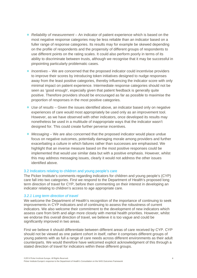- *Reliability of measurement* An indicator of patient experience which is based on the most negative response categories may be less reliable than an indicator based on a fuller range of response categories. Its results may for example be skewed depending on the profile of respondents and the propensity of different groups of respondents to use different points on the rating scales. It could also perform poorly in terms of its ability to discriminate between trusts, although we recognise that it may be successful in pinpointing particularly problematic cases.
- *Incentives* We are concerned that the proposed indicator could incentivise providers to improve their scores by introducing token initiatives designed to nudge responses away from the least positive categories, thereby influencing the indicator score with only minimal impact on patient experience. Intermediate response categories should not be seen as 'good enough', especially given that patient feedback is generally quite positive. Therefore providers should be encouraged as far as possible to maximise the proportion of responses in the most positive categories.
- *Use of results* Given the issues identified above, an indicator based only on negative experiences of care would most appropriately be used only as an improvement tool. However, as we have observed with other indicators, once developed its results may nonetheless be used in a multitude of inappropriate ways that the indicator wasn't designed for. This could create further perverse incentives.
- *Messaging* We are also concerned that the proposed indicator would place undue focus on negative outcomes, potentially damaging morale among providers and further exacerbating a culture in which failures rather than successes are emphasised. We highlight that an inverse measure based on the most positive responses could be implemented that would use similar data but with a positive emphasis. However, whilst this may address messaging issues, clearly it would not address the other issues identified above.

## 3.2 Indicators relating to children and young people's care

The Picker Institute's comments regarding indicators for children and young people's (CYP) care fall into two categories. First we respond to the Department of Health's proposed long term direction of travel for CYP, before then commenting on their interest in developing an indicator relating to children's access to age appropriate care.

# *3.2.1 Long term direction of travel*

We welcome the Department of Health's recognition of the importance of continuing to seek improvements in CYP indicators and of continuing to assess the robustness of current indicators. We also welcome their commitment to the development of new indicators which assess care from birth and align more closely with mental health priorities. However, whilst we endorse this overall direction of travel, we believe it is too vague and could be significantly improved in two areas.

First we believe it should differentiate between different areas of care received by CYP. CYP should not be viewed as one patient cohort in itself, rather it comprises different groups of young patients with as full a range of care needs across different environments as their adult counterparts. We would therefore have welcomed explicit acknowledgment of this through a stated direction of travel for indicators within these different groups.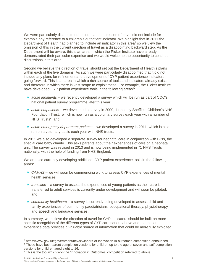We were particularly disappointed to see that the direction of travel did not include for example any reference to a children's outpatient indicator. We highlight that in 2011 the Department of Health had planned to include an indicator in this area<sup>3</sup> so we view the omission of this in the current direction of travel as a disappointing backward step. As the Department will be aware, this is an area in which the Picker Institute have already demonstrated their particular expertise and we would welcome the opportunity to continue discussions in this area.

Second we believe the direction of travel should set out the Department of Health's plans within each of the five domains. As such we were particularly disappointed that it did not include any plans for refinement and development of CYP patient experience indicators going forward. This is an area in which a rich source of tools and indicators already exist, and therefore in which there is vast scope to exploit these. For example, the Picker Institute have developed CYP patient experience tools in the following areas<sup>4</sup>:

- *acute inpatients* we recently developed a survey which will be run as part of CQC's national patient survey programme later this year;
- *acute outpatients* we developed a survey in 2009, funded by Sheffield Children's NHS Foundation Trust, which is now run as a voluntary survey each year with a number of NHS  $Trusts^5$ : and
- *acute emergency department patients* we developed a survey in 2011, which is also run on a voluntary basis each year with NHS trusts.

In 2011 we also developed a separate survey for neonatal care in conjunction with Bliss, the special care baby charity. This asks parents about their experiences of care on a neonatal unit. The survey was revised in 2013 and is now being implemented in 71 NHS Trusts nationally, with the help of funding from NHS England.

We are also currently developing additional CYP patient experience tools in the following areas:

- *CAMHS* we will soon be commencing work to assess CYP experiences of mental health services;
- *transition* a survey to assess the experiences of young patients as their care is transferred to adult services is currently under development and will soon be piloted; and
- *community healthcare* a survey is currently being developed to assess child and family experiences of community paediatricians, occupational therapy, physiotherapy and speech and language services.

In summary, we believe the direction of travel for CYP indicators should be built on more specific recognition of the different types of CYP care set out above and that patient experience data provides a valuable source of information that could be more fully exploited.

©2014 Picker Institute Europe. All Rights Reserved. 7 7

 $\overline{a}$ 

Picker Institute Europe's response to the Department of Health's Consultation on the NHS Outcomes Framework

<sup>3</sup> https://www.gov.uk/government/news/winners-of-innovation-in-outcomes-competition-announced 4 These have both parent completion versions for children up to the age of seven and self-completion versions for children aged eight to 16.

<sup>&</sup>lt;sup>5</sup> This is the tool which won the 'Innovation in Outcomes' competition referred to above.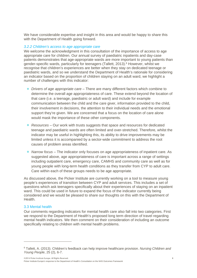We have considerable expertise and insight in this area and would be happy to share this with the Department of Health going forward.

## *3.2.2 Children's access to age appropriate care*

We welcome the acknowledgment in this consultation of the importance of access to age appropriate care for children. Our annual survey of paediatric inpatients and day-case patients demonstrates that age-appropriate wards are more important to young patients than gender-specific wards, particularly for teenagers (Tallett, 2013).6 However, whilst we recognise that children's experiences are better when they stay on dedicated teenage or paediatric wards, and so we understand the Department of Health's rationale for considering an indicator based on the proportion of children staying on an adult ward, we highlight a number of challenges with this indicator:

- *Drivers of age appropriate care* There are many different factors which combine to determine the overall age appropriateness of care. These extend beyond the location of that care (i.e. a teenage, paediatric or adult ward) and include for example communication between the child and the care giver, information provided to the child, their involvement in decisions, the attention to their individual needs and the emotional support they're given. We are concerned that a focus on the location of care alone would mask the importance of these other components.
- *Resources*  Our work with trusts suggests that space and resources for dedicated teenage and paediatric wards are often limited and over-stretched. Therefore, whilst the indicator may be useful in highlighting this, its ability to drive improvements may be limited unless it is accompanied by a sector-wide commitment to address the root causes of problem areas identified.
- *Narrow focus* The indicator only focuses on age appropriateness of inpatient care. As suggested above, age appropriateness of care is important across a range of settings including outpatient care, emergency care, CAMHS and community care as well as for young people with long-term health conditions as they transfer from CYP to adult care. Care within each of these groups needs to be age appropriate.

As discussed above, the Picker Institute are currently working on a tool to measure young people's experiences of transition between CYP and adult services. This includes a set of questions which ask teenagers specifically about their experiences of staying on an inpatient ward. This could be used in future to expand the focus of the indicator currently being considered and we would be pleased to share our thoughts on this with the Department of Health.

#### 3.3 Mental health

 $\overline{a}$ 

Our comments regarding indicators for mental health care also fall into two categories. First we respond to the Department of Health's proposed long term direction of travel regarding mental health indicators. We then comment on their consideration of including an outcome specifically relating to children with mental health problems.

<sup>6</sup> Tallett, A. (2013). Children's feedback can help improve healthcare provision. *Nursing Children and Young People*, 25 (2), 6-7.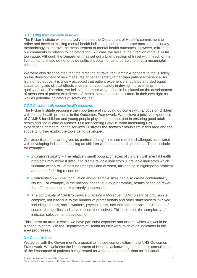## *3.3.1 Long term direction of travel*

The Picker Institute wholeheartedly endorse the Department of Health's commitment to refine and develop existing mental health indicators and to incorporate more robust survey methodology to improve the measurement of mental health outcomes. However, mirroring our comments in relation to indicators for CYP care, we believe the direction of travel is far too vague. Although the Department has set out a brief direction of travel within each of the five domains, these do not provide sufficient detail for us to be able to offer a meaningful critique.

We were also disappointed that the direction of travel for Domain 4 appears to focus solely on the development of new measures of patient safety rather than patient experience. As highlighted above, it is widely accepted that patient experience should be afforded equal status alongside clinical effectiveness and patient safety in driving improvements in the quality of care. Therefore we believe that more weight should be placed on the development of measures of patient experience of mental health care as indicators in their own right as well as potential indicators of safety issues.

## *3.3.2 Children with mental health problems*

The Picker Institute recognise the importance of including outcomes with a focus on children with mental health problems in the Outcomes Framework. We believe a positive experience of CAMHS for children and young people plays an important part in ensuring good adult health and social care outcomes. Our forthcoming CAMHS work measuring CYP experiences of mental health services illustrates the sector's enthusiasm in this area and the scope to further exploit the tools being developed.

Our expertise in this area gives us particular insight into some of the challenges associated with developing indicators focusing on children with mental health problems. These include for example:

- *Indicator reliability* The relatively small population sizes of children with mental health problems may make it difficult to create reliable indicators. Unreliable indicators which fluctuate widely will at best be unhelpful and at worst, misleading in highlighting problem areas and focusing resources.
- *Confidentiality* Small population and/or sample sizes can also create confidentiality issues. For example, in the national patient survey programme, results based on fewer than 30 respondents are currently suppressed.
- *The complexity of CAMHS service provision* Moreover CAMHS service provision is complex, not least due to the number of professionals and other stakeholders involved, including schools, social workers, psychologists, occupational therapists, GPs, and of course, the families and service users themselves. This increases the complexity of indicator selection and development.

This is also an area in which we have particular expertise and insight, which we would be pleased to share with the Department of Health as their work to develop indicators in this area progresses.

## 3.4 Comorbidities

We agree with the Government's proposal to include comorbidities in the NHS Outcomes Framework. We welcome the Department of Health's acknowledgement in this consultation of the importance of patients being treated as whole people rather than as individual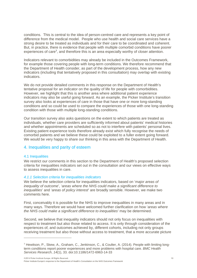conditions. This is central to the idea of person-centred care and represents a key point of difference from the medical model. People who use health and social care services have a strong desire to be treated as individuals and for their care to be coordinated and coherent. But, in practice, there is evidence that people with multiple comorbid conditions have poorer experiences of care7, and therefore this is an area especially worthy of closer attention.

Indicators relevant to comorbidities may already be included in the Outcomes Framework, for example those covering people with long-term conditions. We therefore recommend that the Department of Health consider, as part of the development process, how any new indicators (including that tentatively proposed in this consultation) may overlap with existing indicators.

We do not provide detailed comments in this response on the Department of Health's tentative proposal for an indicator on the quality of life for people with comorbidities. However, we highlight that this is another area where additional patient experience indicators may also be useful going forward. As an example, the Picker Institute's transition survey also looks at experiences of care in those that have one or more long-standing conditions and so could be used to compare the experiences of those with one long-standing condition with those with multiple long-standing conditions.

Our transition survey also asks questions on the extent to which patients are treated as individuals, whether care providers are sufficiently informed about patients' medical histories and whether appointments are scheduled so as not to interfere with patients' personal lives. Existing patient experience tools therefore already exist which fully recognise the needs of comorbid patients and we believe these could be exploited to a fuller extent going forward. We would be very happy to share our thinking in this area with the Department of Health.

# 4. Inequalities and parity of esteem

# 4.1 Inequalities

 $\overline{a}$ 

We restrict our comments in this section to the Department of Health's proposed selection criteria for inequalities indicators set out in the consultation and our views on effective ways to assess inequalities in care.

# *4.1.1 Selection criteria for inequalities indicators*

We believe the selection criteria for inequalities indicators, based on '*major areas of inequality of outcome*', '*areas where the NHS could make a significant difference to inequalities*' and '*areas of policy interest*' are broadly sensible. However, we make two comments here.

First, conceivably it is possible for the NHS to improve inequalities in many areas and in many ways. Therefore we would have welcomed further clarification on how '*areas where the NHS could make a significant difference to inequalities*' may be determined.

Second, we believe that inequality indicators should not only focus on inequalities with respect to treatment but also those related to access. It is only through consideration of the experiences of, and outcomes achieved by, different cohorts, including not only groups receiving treatment but also those without access to treatment, that a more accurate picture

©2014 Picker Institute Europe. All Rights Reserved. 10

Picker Institute Europe's response to the Department of Health's Consultation on the NHS Outcomes Framework

<sup>7</sup> Hewitson, P., Skew, A., Graham, C., Jenkinson, C., & Coulter, A. (2014). People with limiting longterm conditions report poorer experiences and more problems with hospital care. *BMC Health Services Research*, *14*(1), 33. doi:10.1186/1472-6963-14-33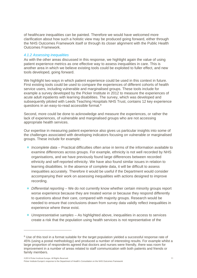of healthcare inequalities can be painted. Therefore we would have welcomed more clarification about how such a holistic view may be produced going forward, either through the NHS Outcomes Framework itself or through its closer alignment with the Public Health Outcomes Framework.

## *4.1.2 Assessing inequalities*

As with the other areas discussed in this response, we highlight again the value of using patient experience metrics as one effective way to assess inequalities in care. This is another area in which we believe existing tools could be exploited to fuller effect, and new tools developed, going forward.

We highlight two ways in which patient experience could be used in this context in future. First existing tools could be used to compare the experiences of different cohorts of health service users, including vulnerable and marginalised groups. These tools include for example a survey developed by the Picker Institute in 2012 to measure the experiences of acute adult inpatients with learning disabilities. The survey, which was developed and subsequently piloted with Leeds Teaching Hospitals NHS Trust, contains 12 key experience questions in an easy-to-read accessible format.8

Second, more could be done to acknowledge and measure the experiences, or rather the lack of experiences, of vulnerable and marginalised groups who are not accessing appropriate health services.

Our expertise in measuring patient experience also gives us particular insights into some of the challenges associated with developing indicators focusing on vulnerable or marginalised groups. These include for example:

- *Incomplete data* Practical difficulties often arise in terms of the information available to examine differences across groups. For example, ethnicity is not well recorded by NHS organisations, and we have previously found large differences between recorded ethnicity and self-reported ethnicity. We have also found similar issues in relation to learning disabilities. In the absence of complete data, it will be difficult to assess inequalities accurately. Therefore it would be useful if the Department would consider accompanying their work on assessing inequalities with actions designed to improve recording.
- *Differential reporting* We do not currently know whether certain minority groups report worse experience because they are treated worse or because they respond differently to questions about their care, compared with majority groups. Research would be needed to ensure that conclusions drawn from survey data validly reflect inequalities in experience where these exist.
- *Unrepresentative samples* As highlighted above, inequalities in access to services create a risk that the population using health services is not representative of the

 $\overline{a}$ 

<sup>&</sup>lt;sup>8</sup> Use of this tool in a format suitable for the target population yielded a successful response rate of 45% (using a postal methodology) and produced a number of interesting results. For example whilst a large proportion of respondents agreed that doctors and nurses were friendly, there was room for improvement in a number of areas related to staff communication with both patients and friends or family members.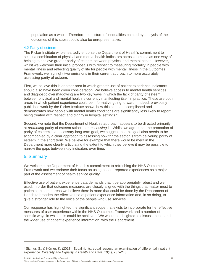population as a whole. Therefore the picture of inequalities painted by analysis of the outcomes of this subset could also be unrepresentative.

## 4.2 Parity of esteem

The Picker Institute wholeheartedly endorse the Department of Health's commitment to select a combination of physical and mental health indicators across domains as one way of helping to achieve greater parity of esteem between physical and mental health. However, whilst we welcome their initial proposals with respect to measuring mortality in people with mental illness and reflecting quality of life for people with mental illness in the Outcomes Framework, we highlight two omissions in their current approach to more accurately assessing parity of esteem.

First, we believe this is another area in which greater use of patient experience indicators should also have been given consideration. We believe access to mental health services and diagnostic overshadowing are two key ways in which the lack of parity of esteem between physical and mental health is currently manifesting itself in practice. These are both areas in which patient experience could be informative going forward. Indeed, previously published work by the Picker Institute shows how this can be accomplished and demonstrates how people with mental health conditions are significantly less likely to report being treated with respect and dignity in hospital settings.<sup>9</sup>

Second, we note that the Department of Health's approach appears to be directed primarily at *promoting* parity of esteem rather than *assessing* it. Whilst we agree that the promotion of parity of esteem is a necessary long term goal, we suggest that this goal also needs to be accompanied by a clear approach to assessing how far the sector is from delivering parity of esteem in the short term. We believe for example that there would be merit in the Department more clearly articulating the extent to which they believe it may be possible to narrow the gaps between key indicators over time.

# 5. Summary

We welcome the Department of Health's commitment to refreshing the NHS Outcomes Framework and we endorse their focus on using patient-reported experiences as a major part of the assessment of health service quality.

Effective use of patient experience data demands that it be appropriately robust and well used, in order that outcome measures are closely aligned with the things that matter most to patients. In some areas we believe there is more that could be done by the Department of Health to broaden the effective use of patient experience information and, in so doing, to give a stronger role to the voice of the people who use services.

Our response has highlighted the significant scope that exists to incorporate further effective measures of user experience within the NHS Outcomes Framework and a number of specific ways in which this could be achieved. We would be delighted to discuss these, and the wider use of patient experience information, with the Department.

©2014 Picker Institute Europe. All Rights Reserved. 12

 $\overline{a}$ 

Picker Institute Europe's response to the Department of Health's Consultation on the NHS Outcomes Framework

<sup>&</sup>lt;sup>9</sup> Sizmur, S., & Körner, K. (2013). Equal rights, equal respect: an examination of differential inpatient experience. *Diversity and Equality in Health and Care*, *10*(4), 237–248.